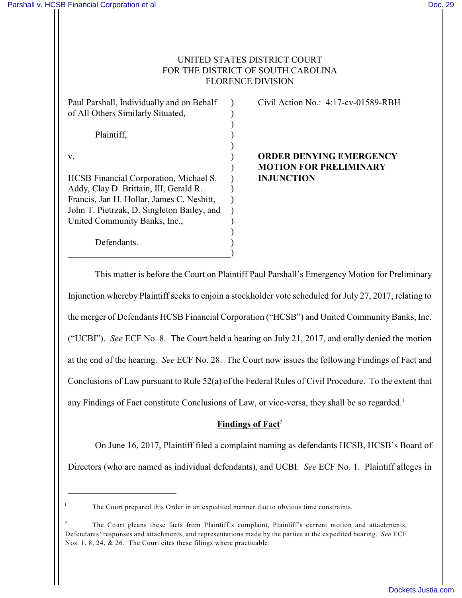1

# UNITED STATES DISTRICT COURT FOR THE DISTRICT OF SOUTH CAROLINA FLORENCE DIVISION

| Paul Parshall, Individually and on Behalf<br>of All Others Similarly Situated,                                                                                                                               |  |
|--------------------------------------------------------------------------------------------------------------------------------------------------------------------------------------------------------------|--|
| Plaintiff,                                                                                                                                                                                                   |  |
| V.                                                                                                                                                                                                           |  |
| HCSB Financial Corporation, Michael S.<br>Addy, Clay D. Brittain, III, Gerald R.<br>Francis, Jan H. Hollar, James C. Nesbitt,<br>John T. Pietrzak, D. Singleton Bailey, and<br>United Community Banks, Inc., |  |
| Defendants.                                                                                                                                                                                                  |  |

Civil Action No.: 4:17-cv-01589-RBH

**ORDER DENYING EMERGENCY** ) **MOTION FOR PRELIMINARY INJUNCTION** 

This matter is before the Court on Plaintiff Paul Parshall's Emergency Motion for Preliminary Injunction whereby Plaintiff seeks to enjoin a stockholder vote scheduled for July 27, 2017, relating to the merger of Defendants HCSB Financial Corporation ("HCSB") and United Community Banks, Inc. ("UCBI"). *See* ECF No. 8. The Court held a hearing on July 21, 2017, and orally denied the motion at the end of the hearing. *See* ECF No. 28. The Court now issues the following Findings of Fact and Conclusions of Law pursuant to Rule 52(a) of the Federal Rules of Civil Procedure. To the extent that any Findings of Fact constitute Conclusions of Law, or vice-versa, they shall be so regarded.<sup>1</sup>

# Findings of Fact<sup>2</sup>

On June 16, 2017, Plaintiff filed a complaint naming as defendants HCSB, HCSB's Board of Directors (who are named as individual defendants), and UCBI. *See* ECF No. 1. Plaintiff alleges in

The Court prepared this Order in an expedited manner due to obvious time constraints.

The Court gleans these facts from Plaintiff's complaint, Plaintiff's current motion and attachments, 2 Defendants' responses and attachments, and representations made by the parties at the expedited hearing. *See* ECF Nos. 1, 8, 24, & 26. The Court cites these filings where practicable.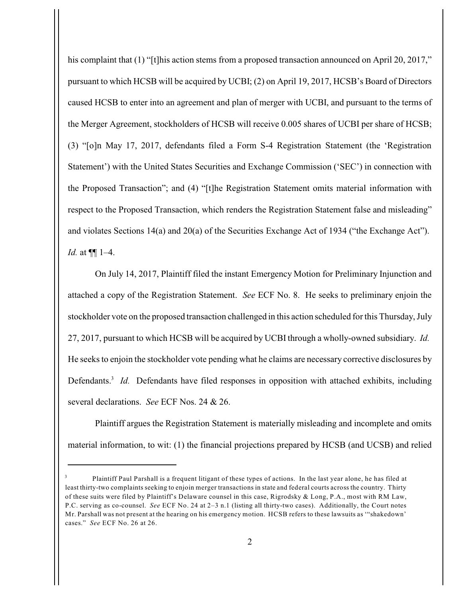his complaint that (1) "[t]his action stems from a proposed transaction announced on April 20, 2017," pursuant to which HCSB will be acquired by UCBI; (2) on April 19, 2017, HCSB's Board of Directors caused HCSB to enter into an agreement and plan of merger with UCBI, and pursuant to the terms of the Merger Agreement, stockholders of HCSB will receive 0.005 shares of UCBI per share of HCSB; (3) "[o]n May 17, 2017, defendants filed a Form S-4 Registration Statement (the 'Registration Statement') with the United States Securities and Exchange Commission ('SEC') in connection with the Proposed Transaction"; and (4) "[t]he Registration Statement omits material information with respect to the Proposed Transaction, which renders the Registration Statement false and misleading" and violates Sections 14(a) and 20(a) of the Securities Exchange Act of 1934 ("the Exchange Act"). *Id.* at ¶¶ 1–4.

On July 14, 2017, Plaintiff filed the instant Emergency Motion for Preliminary Injunction and attached a copy of the Registration Statement. *See* ECF No. 8. He seeks to preliminary enjoin the stockholder vote on the proposed transaction challenged in this action scheduled for this Thursday, July 27, 2017, pursuant to which HCSB will be acquired by UCBI through a wholly-owned subsidiary. *Id.*  He seeks to enjoin the stockholder vote pending what he claims are necessary corrective disclosures by Defendants.<sup>3</sup> Id. Defendants have filed responses in opposition with attached exhibits, including several declarations. *See* ECF Nos. 24 & 26.

Plaintiff argues the Registration Statement is materially misleading and incomplete and omits material information, to wit: (1) the financial projections prepared by HCSB (and UCSB) and relied

Plaintiff Paul Parshall is a frequent litigant of these types of actions. In the last year alone, he has filed at 3 least thirty-two complaints seeking to enjoin merger transactions in state and federal courts across the country. Thirty of these suits were filed by Plaintiff's Delaware counsel in this case, Rigrodsky & Long, P.A., most with RM Law, P.C. serving as co-counsel. *See* ECF No. 24 at 2–3 n.1 (listing all thirty-two cases). Additionally, the Court notes Mr. Parshall was not present at the hearing on his emergency motion. HCSB refers to these lawsuits as '"shakedown' cases." *See* ECF No. 26 at 26.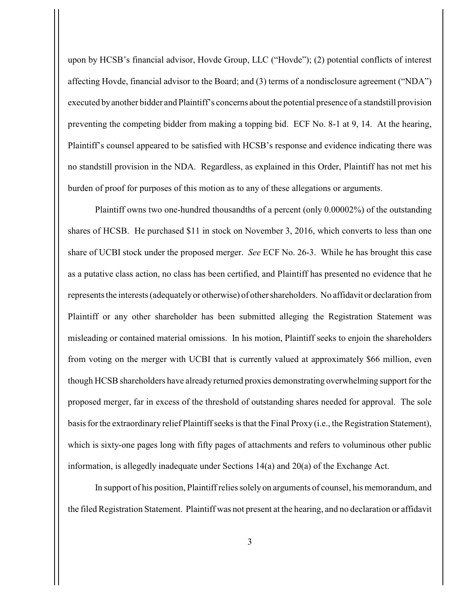upon by HCSB's financial advisor, Hovde Group, LLC ("Hovde"); (2) potential conflicts of interest affecting Hovde, financial advisor to the Board; and (3) terms of a nondisclosure agreement ("NDA") executed byanother bidder and Plaintiff's concerns about the potential presence of a standstill provision preventing the competing bidder from making a topping bid. ECF No. 8-1 at 9, 14. At the hearing, Plaintiff's counsel appeared to be satisfied with HCSB's response and evidence indicating there was no standstill provision in the NDA. Regardless, as explained in this Order, Plaintiff has not met his burden of proof for purposes of this motion as to any of these allegations or arguments.

Plaintiff owns two one-hundred thousandths of a percent (only 0.00002%) of the outstanding shares of HCSB. He purchased \$11 in stock on November 3, 2016, which converts to less than one share of UCBI stock under the proposed merger. *See* ECF No. 26-3. While he has brought this case as a putative class action, no class has been certified, and Plaintiff has presented no evidence that he represents the interests (adequatelyor otherwise) of other shareholders. No affidavit or declaration from Plaintiff or any other shareholder has been submitted alleging the Registration Statement was misleading or contained material omissions. In his motion, Plaintiff seeks to enjoin the shareholders from voting on the merger with UCBI that is currently valued at approximately \$66 million, even though HCSB shareholders have already returned proxies demonstrating overwhelming support for the proposed merger, far in excess of the threshold of outstanding shares needed for approval. The sole basis for the extraordinary relief Plaintiff seeks is that the Final Proxy (i.e., the Registration Statement), which is sixty-one pages long with fifty pages of attachments and refers to voluminous other public information, is allegedly inadequate under Sections 14(a) and 20(a) of the Exchange Act.

In support of his position, Plaintiff relies solely on arguments of counsel, his memorandum, and the filed Registration Statement. Plaintiff was not present at the hearing, and no declaration or affidavit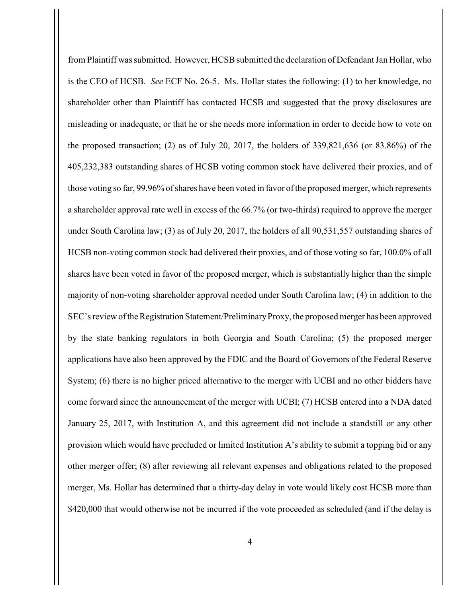from Plaintiff was submitted. However, HCSB submitted the declaration of Defendant Jan Hollar, who is the CEO of HCSB. *See* ECF No. 26-5. Ms. Hollar states the following: (1) to her knowledge, no shareholder other than Plaintiff has contacted HCSB and suggested that the proxy disclosures are misleading or inadequate, or that he or she needs more information in order to decide how to vote on the proposed transaction; (2) as of July 20, 2017, the holders of 339,821,636 (or 83.86%) of the 405,232,383 outstanding shares of HCSB voting common stock have delivered their proxies, and of those voting so far, 99.96% of shares have been voted in favor of the proposed merger, which represents a shareholder approval rate well in excess of the 66.7% (or two-thirds) required to approve the merger under South Carolina law; (3) as of July 20, 2017, the holders of all 90,531,557 outstanding shares of HCSB non-voting common stock had delivered their proxies, and of those voting so far, 100.0% of all shares have been voted in favor of the proposed merger, which is substantially higher than the simple majority of non-voting shareholder approval needed under South Carolina law; (4) in addition to the SEC's review of the Registration Statement/PreliminaryProxy, the proposed merger has been approved by the state banking regulators in both Georgia and South Carolina; (5) the proposed merger applications have also been approved by the FDIC and the Board of Governors of the Federal Reserve System; (6) there is no higher priced alternative to the merger with UCBI and no other bidders have come forward since the announcement of the merger with UCBI; (7) HCSB entered into a NDA dated January 25, 2017, with Institution A, and this agreement did not include a standstill or any other provision which would have precluded or limited Institution A's ability to submit a topping bid or any other merger offer; (8) after reviewing all relevant expenses and obligations related to the proposed merger, Ms. Hollar has determined that a thirty-day delay in vote would likely cost HCSB more than \$420,000 that would otherwise not be incurred if the vote proceeded as scheduled (and if the delay is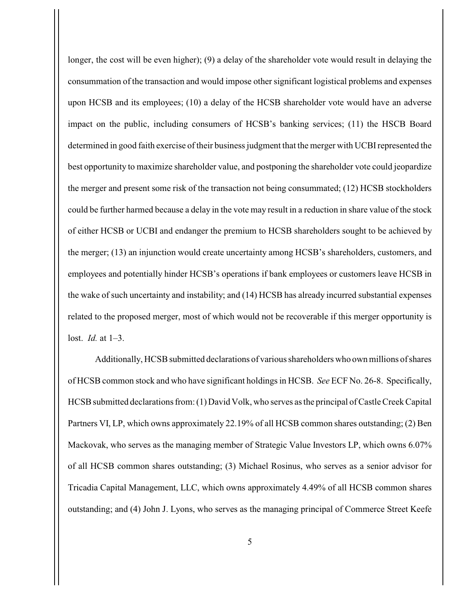longer, the cost will be even higher); (9) a delay of the shareholder vote would result in delaying the consummation of the transaction and would impose other significant logistical problems and expenses upon HCSB and its employees; (10) a delay of the HCSB shareholder vote would have an adverse impact on the public, including consumers of HCSB's banking services; (11) the HSCB Board determined in good faith exercise of their business judgment that the merger with UCBIrepresented the best opportunity to maximize shareholder value, and postponing the shareholder vote could jeopardize the merger and present some risk of the transaction not being consummated; (12) HCSB stockholders could be further harmed because a delay in the vote may result in a reduction in share value of the stock of either HCSB or UCBI and endanger the premium to HCSB shareholders sought to be achieved by the merger; (13) an injunction would create uncertainty among HCSB's shareholders, customers, and employees and potentially hinder HCSB's operations if bank employees or customers leave HCSB in the wake of such uncertainty and instability; and (14) HCSB has already incurred substantial expenses related to the proposed merger, most of which would not be recoverable if this merger opportunity is lost. *Id.* at 1–3.

Additionally, HCSB submitted declarations of various shareholders who own millions of shares of HCSB common stock and who have significant holdings in HCSB. *See* ECF No. 26-8. Specifically, HCSB submitted declarations from: (1) David Volk, who serves as the principal of Castle Creek Capital Partners VI, LP, which owns approximately 22.19% of all HCSB common shares outstanding; (2) Ben Mackovak, who serves as the managing member of Strategic Value Investors LP, which owns 6.07% of all HCSB common shares outstanding; (3) Michael Rosinus, who serves as a senior advisor for Tricadia Capital Management, LLC, which owns approximately 4.49% of all HCSB common shares outstanding; and (4) John J. Lyons, who serves as the managing principal of Commerce Street Keefe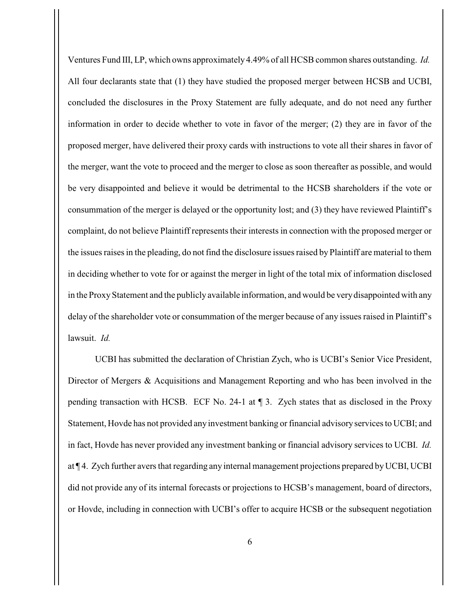Ventures Fund III, LP, which owns approximately 4.49% of all HCSB common shares outstanding. *Id.*  All four declarants state that (1) they have studied the proposed merger between HCSB and UCBI, concluded the disclosures in the Proxy Statement are fully adequate, and do not need any further information in order to decide whether to vote in favor of the merger; (2) they are in favor of the proposed merger, have delivered their proxy cards with instructions to vote all their shares in favor of the merger, want the vote to proceed and the merger to close as soon thereafter as possible, and would be very disappointed and believe it would be detrimental to the HCSB shareholders if the vote or consummation of the merger is delayed or the opportunity lost; and (3) they have reviewed Plaintiff's complaint, do not believe Plaintiff represents their interests in connection with the proposed merger or the issues raises in the pleading, do not find the disclosure issues raised by Plaintiff are material to them in deciding whether to vote for or against the merger in light of the total mix of information disclosed in the Proxy Statement and the publicly available information, and would be verydisappointed with any delay of the shareholder vote or consummation of the merger because of any issues raised in Plaintiff's lawsuit. *Id.*

UCBI has submitted the declaration of Christian Zych, who is UCBI's Senior Vice President, Director of Mergers & Acquisitions and Management Reporting and who has been involved in the pending transaction with HCSB. ECF No. 24-1 at ¶ 3. Zych states that as disclosed in the Proxy Statement, Hovde has not provided any investment banking or financial advisory services to UCBI; and in fact, Hovde has never provided any investment banking or financial advisory services to UCBI. *Id.* at ¶ 4. Zych further avers that regarding any internal management projections prepared byUCBI, UCBI did not provide any of its internal forecasts or projections to HCSB's management, board of directors, or Hovde, including in connection with UCBI's offer to acquire HCSB or the subsequent negotiation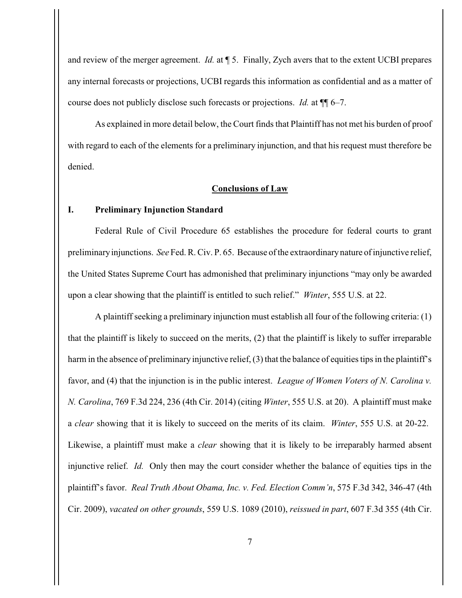and review of the merger agreement. *Id.* at ¶ 5. Finally, Zych avers that to the extent UCBI prepares any internal forecasts or projections, UCBI regards this information as confidential and as a matter of course does not publicly disclose such forecasts or projections. *Id.* at ¶¶ 6–7.

As explained in more detail below, the Court finds that Plaintiff has not met his burden of proof with regard to each of the elements for a preliminary injunction, and that his request must therefore be denied.

### **Conclusions of Law**

#### **I. Preliminary Injunction Standard**

Federal Rule of Civil Procedure 65 establishes the procedure for federal courts to grant preliminaryinjunctions. *See* Fed. R. Civ. P. 65. Because of the extraordinarynature of injunctive relief, the United States Supreme Court has admonished that preliminary injunctions "may only be awarded upon a clear showing that the plaintiff is entitled to such relief." *Winter*, 555 U.S. at 22.

A plaintiff seeking a preliminary injunction must establish all four of the following criteria: (1) that the plaintiff is likely to succeed on the merits, (2) that the plaintiff is likely to suffer irreparable harm in the absence of preliminary injunctive relief, (3) that the balance of equities tips in the plaintiff's favor, and (4) that the injunction is in the public interest. *League of Women Voters of N. Carolina v. N. Carolina*, 769 F.3d 224, 236 (4th Cir. 2014) (citing *Winter*, 555 U.S. at 20). A plaintiff must make a *clear* showing that it is likely to succeed on the merits of its claim. *Winter*, 555 U.S. at 20-22. Likewise, a plaintiff must make a *clear* showing that it is likely to be irreparably harmed absent injunctive relief. *Id.* Only then may the court consider whether the balance of equities tips in the plaintiff's favor. *Real Truth About Obama, Inc. v. Fed. Election Comm'n*, 575 F.3d 342, 346-47 (4th Cir. 2009), *vacated on other grounds*, 559 U.S. 1089 (2010), *reissued in part*, 607 F.3d 355 (4th Cir.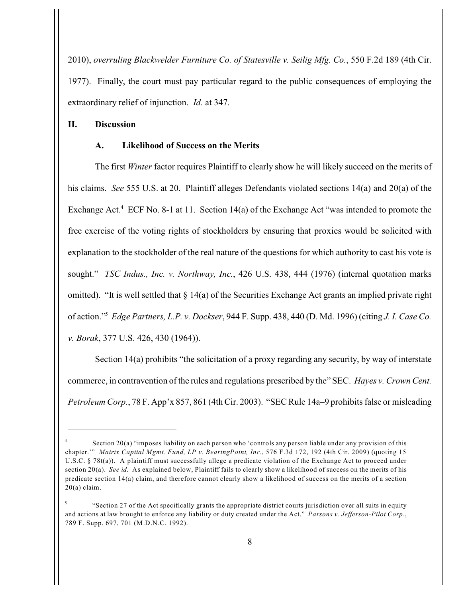2010), *overruling Blackwelder Furniture Co. of Statesville v. Seilig Mfg. Co.*, 550 F.2d 189 (4th Cir. 1977). Finally, the court must pay particular regard to the public consequences of employing the extraordinary relief of injunction. *Id.* at 347.

### **II. Discussion**

#### **A. Likelihood of Success on the Merits**

The first *Winter* factor requires Plaintiff to clearly show he will likely succeed on the merits of his claims. *See* 555 U.S. at 20. Plaintiff alleges Defendants violated sections 14(a) and 20(a) of the Exchange Act.<sup>4</sup> ECF No. 8-1 at 11. Section 14(a) of the Exchange Act "was intended to promote the free exercise of the voting rights of stockholders by ensuring that proxies would be solicited with explanation to the stockholder of the real nature of the questions for which authority to cast his vote is sought." *TSC Indus., Inc. v. Northway, Inc.*, 426 U.S. 438, 444 (1976) (internal quotation marks omitted). "It is well settled that § 14(a) of the Securities Exchange Act grants an implied private right of action." *Edge Partners, L.P. v. Dockser*, 944 F. Supp. 438, 440 (D. Md. 1996) (citing *J. I. Case Co.* <sup>5</sup> *v. Borak*, 377 U.S. 426, 430 (1964)).

Section 14(a) prohibits "the solicitation of a proxy regarding any security, by way of interstate commerce, in contravention of the rules and regulations prescribed by the" SEC. *Hayes v. Crown Cent. Petroleum Corp.*, 78 F. App'x 857, 861 (4th Cir. 2003). "SEC Rule 14a–9 prohibits false or misleading

Section 20(a) "imposes liability on each person who 'controls any person liable under any provision of this 4 chapter.'" *Matrix Capital Mgmt. Fund, LP v. BearingPoint, Inc.*, 576 F.3d 172, 192 (4th Cir. 2009) (quoting 15 U.S.C. § 78t(a)). A plaintiff must successfully allege a predicate violation of the Exchange Act to proceed under section 20(a). *See id.* As explained below, Plaintiff fails to clearly show a likelihood of success on the merits of his predicate section 14(a) claim, and therefore cannot clearly show a likelihood of success on the merits of a section  $20(a)$  claim.

<sup>&</sup>quot;Section 27 of the Act specifically grants the appropriate district courts jurisdiction over all suits in equity 5 and actions at law brought to enforce any liability or duty created under the Act." *Parsons v. Jefferson-Pilot Corp.*, 789 F. Supp. 697, 701 (M.D.N.C. 1992).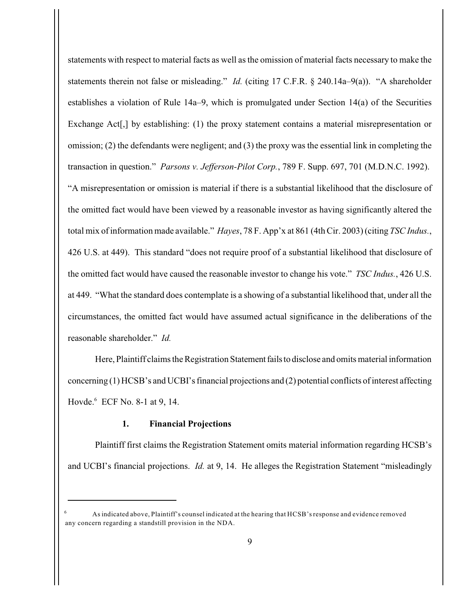statements with respect to material facts as well as the omission of material facts necessary to make the statements therein not false or misleading." *Id.* (citing 17 C.F.R. § 240.14a–9(a)). "A shareholder establishes a violation of Rule 14a–9, which is promulgated under Section 14(a) of the Securities Exchange Act<sup>[</sup>,] by establishing: (1) the proxy statement contains a material misrepresentation or omission; (2) the defendants were negligent; and (3) the proxy was the essential link in completing the transaction in question." *Parsons v. Jefferson-Pilot Corp.*, 789 F. Supp. 697, 701 (M.D.N.C. 1992). "A misrepresentation or omission is material if there is a substantial likelihood that the disclosure of the omitted fact would have been viewed by a reasonable investor as having significantly altered the total mix of information made available." *Hayes*, 78 F. App'x at 861 (4th Cir. 2003) (citing *TSC Indus.*, 426 U.S. at 449). This standard "does not require proof of a substantial likelihood that disclosure of the omitted fact would have caused the reasonable investor to change his vote." *TSC Indus.*, 426 U.S. at 449. "What the standard does contemplate is a showing of a substantial likelihood that, under all the circumstances, the omitted fact would have assumed actual significance in the deliberations of the reasonable shareholder." *Id.*

Here, Plaintiff claims the Registration Statement fails to disclose and omits material information concerning (1) HCSB's and UCBI's financial projections and (2) potential conflicts of interest affecting Hovde.<sup>6</sup> ECF No. 8-1 at 9, 14.

# **1. Financial Projections**

Plaintiff first claims the Registration Statement omits material information regarding HCSB's and UCBI's financial projections. *Id.* at 9, 14. He alleges the Registration Statement "misleadingly

As indicated above, Plaintiff's counsel indicated at the hearing that HCSB'sresponse and evidence removed 6 any concern regarding a standstill provision in the NDA.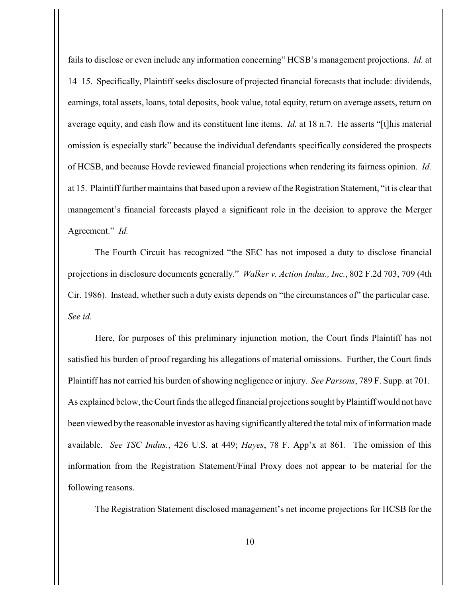fails to disclose or even include any information concerning" HCSB's management projections. *Id.* at 14–15. Specifically, Plaintiff seeks disclosure of projected financial forecasts that include: dividends, earnings, total assets, loans, total deposits, book value, total equity, return on average assets, return on average equity, and cash flow and its constituent line items. *Id.* at 18 n.7. He asserts "[t]his material omission is especially stark" because the individual defendants specifically considered the prospects of HCSB, and because Hovde reviewed financial projections when rendering its fairness opinion. *Id.* at 15. Plaintiff further maintains that based upon a review of the Registration Statement, "it is clear that management's financial forecasts played a significant role in the decision to approve the Merger Agreement." *Id.*

The Fourth Circuit has recognized "the SEC has not imposed a duty to disclose financial projections in disclosure documents generally." *Walker v. Action Indus., Inc.*, 802 F.2d 703, 709 (4th Cir. 1986). Instead, whether such a duty exists depends on "the circumstances of" the particular case. *See id.*

Here, for purposes of this preliminary injunction motion, the Court finds Plaintiff has not satisfied his burden of proof regarding his allegations of material omissions. Further, the Court finds Plaintiff has not carried his burden of showing negligence or injury. *See Parsons*, 789 F. Supp. at 701. As explained below, the Court finds the alleged financial projections sought byPlaintiff would not have been viewed bythe reasonable investor as having significantly altered the total mix of information made available. *See TSC Indus.*, 426 U.S. at 449; *Hayes*, 78 F. App'x at 861. The omission of this information from the Registration Statement/Final Proxy does not appear to be material for the following reasons.

The Registration Statement disclosed management's net income projections for HCSB for the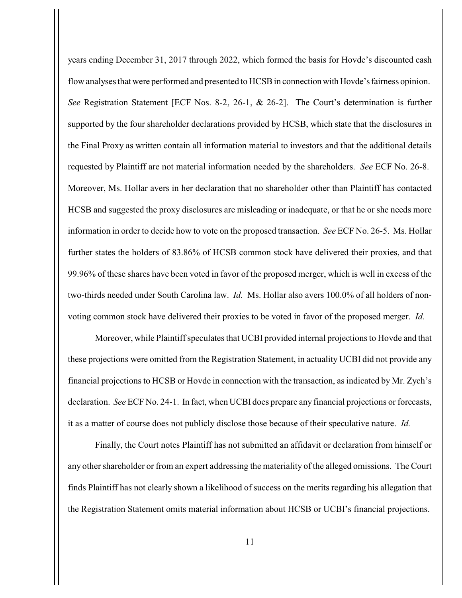years ending December 31, 2017 through 2022, which formed the basis for Hovde's discounted cash flow analyses that were performed and presented to HCSB in connection with Hovde's fairness opinion. *See* Registration Statement [ECF Nos. 8-2, 26-1, & 26-2]. The Court's determination is further supported by the four shareholder declarations provided by HCSB, which state that the disclosures in the Final Proxy as written contain all information material to investors and that the additional details requested by Plaintiff are not material information needed by the shareholders. *See* ECF No. 26-8. Moreover, Ms. Hollar avers in her declaration that no shareholder other than Plaintiff has contacted HCSB and suggested the proxy disclosures are misleading or inadequate, or that he or she needs more information in order to decide how to vote on the proposed transaction. *See* ECF No. 26-5. Ms. Hollar further states the holders of 83.86% of HCSB common stock have delivered their proxies, and that 99.96% of these shares have been voted in favor of the proposed merger, which is well in excess of the two-thirds needed under South Carolina law. *Id.* Ms. Hollar also avers 100.0% of all holders of nonvoting common stock have delivered their proxies to be voted in favor of the proposed merger. *Id.*

Moreover, while Plaintiff speculates that UCBI provided internal projections to Hovde and that these projections were omitted from the Registration Statement, in actuality UCBI did not provide any financial projections to HCSB or Hovde in connection with the transaction, as indicated by Mr. Zych's declaration. *See* ECF No. 24-1. In fact, when UCBI does prepare any financial projections or forecasts, it as a matter of course does not publicly disclose those because of their speculative nature. *Id.*

Finally, the Court notes Plaintiff has not submitted an affidavit or declaration from himself or any other shareholder or from an expert addressing the materiality of the alleged omissions. The Court finds Plaintiff has not clearly shown a likelihood of success on the merits regarding his allegation that the Registration Statement omits material information about HCSB or UCBI's financial projections.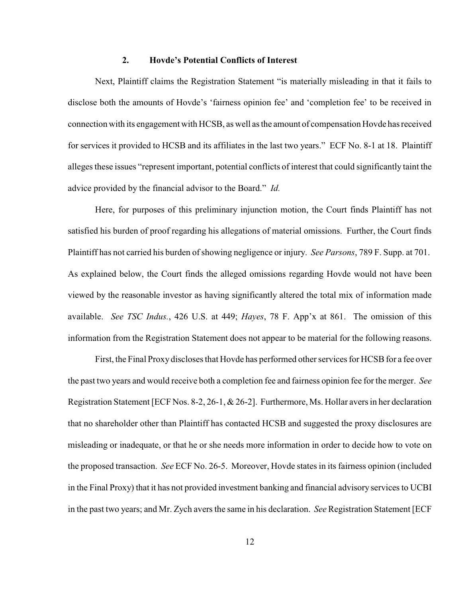#### **2. Hovde's Potential Conflicts of Interest**

Next, Plaintiff claims the Registration Statement "is materially misleading in that it fails to disclose both the amounts of Hovde's 'fairness opinion fee' and 'completion fee' to be received in connection with its engagement with HCSB, as well as the amount of compensation Hovde has received for services it provided to HCSB and its affiliates in the last two years." ECF No. 8-1 at 18. Plaintiff alleges these issues "represent important, potential conflicts of interest that could significantly taint the advice provided by the financial advisor to the Board." *Id.*

Here, for purposes of this preliminary injunction motion, the Court finds Plaintiff has not satisfied his burden of proof regarding his allegations of material omissions. Further, the Court finds Plaintiff has not carried his burden of showing negligence or injury. *See Parsons*, 789 F. Supp. at 701. As explained below, the Court finds the alleged omissions regarding Hovde would not have been viewed by the reasonable investor as having significantly altered the total mix of information made available. *See TSC Indus.*, 426 U.S. at 449; *Hayes*, 78 F. App'x at 861. The omission of this information from the Registration Statement does not appear to be material for the following reasons.

First, the Final Proxy discloses that Hovde has performed other services for HCSB for a fee over the past two years and would receive both a completion fee and fairness opinion fee for the merger. *See* Registration Statement [ECF Nos. 8-2, 26-1, & 26-2]. Furthermore, Ms. Hollar avers in her declaration that no shareholder other than Plaintiff has contacted HCSB and suggested the proxy disclosures are misleading or inadequate, or that he or she needs more information in order to decide how to vote on the proposed transaction. *See* ECF No. 26-5. Moreover, Hovde states in its fairness opinion (included in the Final Proxy) that it has not provided investment banking and financial advisory services to UCBI in the past two years; and Mr. Zych avers the same in his declaration. *See* Registration Statement [ECF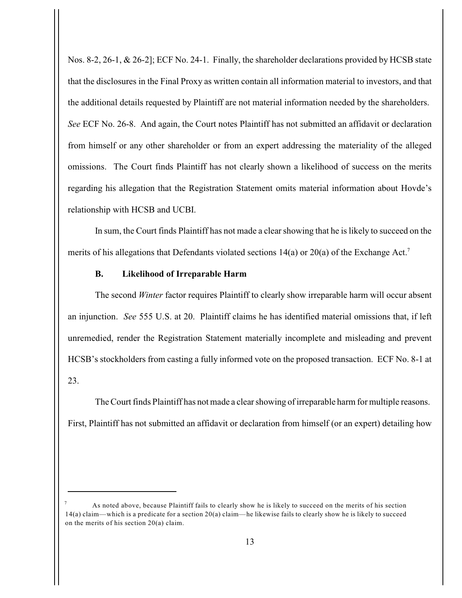Nos. 8-2, 26-1, & 26-2]; ECF No. 24-1. Finally, the shareholder declarations provided by HCSB state that the disclosures in the Final Proxy as written contain all information material to investors, and that the additional details requested by Plaintiff are not material information needed by the shareholders. *See* ECF No. 26-8. And again, the Court notes Plaintiff has not submitted an affidavit or declaration from himself or any other shareholder or from an expert addressing the materiality of the alleged omissions. The Court finds Plaintiff has not clearly shown a likelihood of success on the merits regarding his allegation that the Registration Statement omits material information about Hovde's relationship with HCSB and UCBI.

In sum, the Court finds Plaintiff has not made a clear showing that he is likely to succeed on the merits of his allegations that Defendants violated sections 14(a) or 20(a) of the Exchange Act.<sup>7</sup>

# **B. Likelihood of Irreparable Harm**

The second *Winter* factor requires Plaintiff to clearly show irreparable harm will occur absent an injunction. *See* 555 U.S. at 20. Plaintiff claims he has identified material omissions that, if left unremedied, render the Registration Statement materially incomplete and misleading and prevent HCSB's stockholders from casting a fully informed vote on the proposed transaction. ECF No. 8-1 at 23.

The Court finds Plaintiff has not made a clear showing of irreparable harm for multiple reasons. First, Plaintiff has not submitted an affidavit or declaration from himself (or an expert) detailing how

As noted above, because Plaintiff fails to clearly show he is likely to succeed on the merits of his section 7 14(a) claim—which is a predicate for a section 20(a) claim—he likewise fails to clearly show he is likely to succeed on the merits of his section 20(a) claim.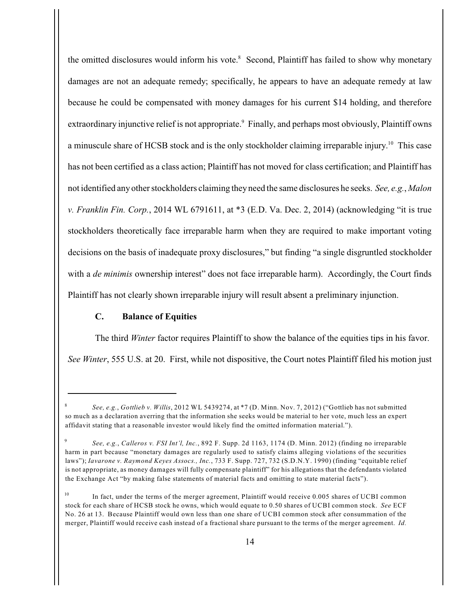the omitted disclosures would inform his vote.<sup>8</sup> Second, Plaintiff has failed to show why monetary damages are not an adequate remedy; specifically, he appears to have an adequate remedy at law because he could be compensated with money damages for his current \$14 holding, and therefore extraordinary injunctive relief is not appropriate.<sup>9</sup> Finally, and perhaps most obviously, Plaintiff owns a minuscule share of HCSB stock and is the only stockholder claiming irreparable injury.<sup>10</sup> This case has not been certified as a class action; Plaintiff has not moved for class certification; and Plaintiff has not identified any other stockholders claiming they need the same disclosures he seeks. *See, e.g.*, *Malon v. Franklin Fin. Corp.*, 2014 WL 6791611, at \*3 (E.D. Va. Dec. 2, 2014) (acknowledging "it is true stockholders theoretically face irreparable harm when they are required to make important voting decisions on the basis of inadequate proxy disclosures," but finding "a single disgruntled stockholder with a *de minimis* ownership interest" does not face irreparable harm). Accordingly, the Court finds Plaintiff has not clearly shown irreparable injury will result absent a preliminary injunction.

# **C. Balance of Equities**

The third *Winter* factor requires Plaintiff to show the balance of the equities tips in his favor. *See Winter*, 555 U.S. at 20. First, while not dispositive, the Court notes Plaintiff filed his motion just

*See, e.g.*, *Gottlieb v. Willis*, 2012 WL 5439274, at \*7 (D. Minn. Nov. 7, 2012) ("Gottlieb has not submitted 8 so much as a declaration averring that the information she seeks would be material to her vote, much less an expert affidavit stating that a reasonable investor would likely find the omitted information material.").

*See, e.g.*, *Calleros v. FSI Int'l, Inc.*, 892 F. Supp. 2d 1163, 1174 (D. Minn. 2012) (finding no irreparable 9 harm in part because "monetary damages are regularly used to satisfy claims alleging violations of the securities laws"); *Iavarone v. Raymond Keyes Assocs., Inc.*, 733 F. Supp. 727, 732 (S.D.N.Y. 1990) (finding "equitable relief is not appropriate, as money damages will fully compensate plaintiff" for his allegations that the defendants violated the Exchange Act "by making false statements of material facts and omitting to state material facts").

In fact, under the terms of the merger agreement, Plaintiff would receive 0.005 shares of UCBI common 10 stock for each share of HCSB stock he owns, which would equate to 0.50 shares of UCBI common stock. *See* ECF No. 26 at 13. Because Plaintiff would own less than one share of UCBI common stock after consummation of the merger, Plaintiff would receive cash instead of a fractional share pursuant to the terms of the merger agreement. *Id.*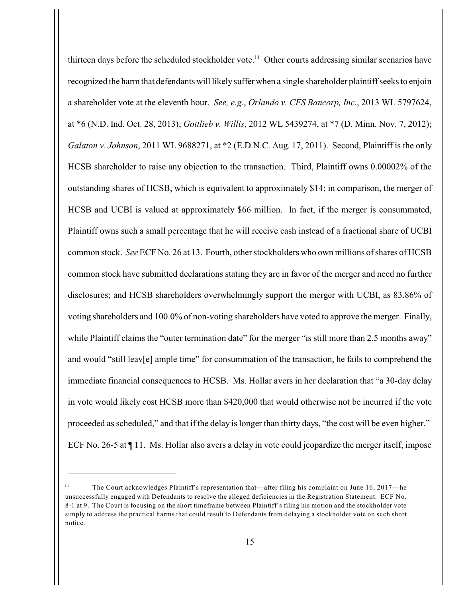thirteen days before the scheduled stockholder vote.<sup>11</sup> Other courts addressing similar scenarios have recognized the harm that defendants will likelysuffer when a single shareholder plaintiff seeks to enjoin a shareholder vote at the eleventh hour. *See, e.g.*, *Orlando v. CFS Bancorp, Inc.*, 2013 WL 5797624, at \*6 (N.D. Ind. Oct. 28, 2013); *Gottlieb v. Willis*, 2012 WL 5439274, at \*7 (D. Minn. Nov. 7, 2012); *Galaton v. Johnson*, 2011 WL 9688271, at \*2 (E.D.N.C. Aug. 17, 2011). Second, Plaintiff is the only HCSB shareholder to raise any objection to the transaction. Third, Plaintiff owns 0.00002% of the outstanding shares of HCSB, which is equivalent to approximately \$14; in comparison, the merger of HCSB and UCBI is valued at approximately \$66 million. In fact, if the merger is consummated, Plaintiff owns such a small percentage that he will receive cash instead of a fractional share of UCBI common stock. *See* ECF No. 26 at 13. Fourth, other stockholders who own millions of shares of HCSB common stock have submitted declarations stating they are in favor of the merger and need no further disclosures; and HCSB shareholders overwhelmingly support the merger with UCBI, as 83.86% of voting shareholders and 100.0% of non-voting shareholders have voted to approve the merger. Finally, while Plaintiff claims the "outer termination date" for the merger "is still more than 2.5 months away" and would "still leav[e] ample time" for consummation of the transaction, he fails to comprehend the immediate financial consequences to HCSB. Ms. Hollar avers in her declaration that "a 30-day delay in vote would likely cost HCSB more than \$420,000 that would otherwise not be incurred if the vote proceeded as scheduled," and that if the delay is longer than thirty days, "the cost will be even higher." ECF No. 26-5 at ¶ 11. Ms. Hollar also avers a delay in vote could jeopardize the merger itself, impose

The Court acknowledges Plaintiff's representation that—after filing his complaint on June 16, 2017—he 11 unsuccessfully engaged with Defendants to resolve the alleged deficiencies in the Registration Statement. ECF No. 8-1 at 9. The Court is focusing on the short timeframe between Plaintiff's filing his motion and the stockholder vote simply to address the practical harms that could result to Defendants from delaying a stockholder vote on such short notice.